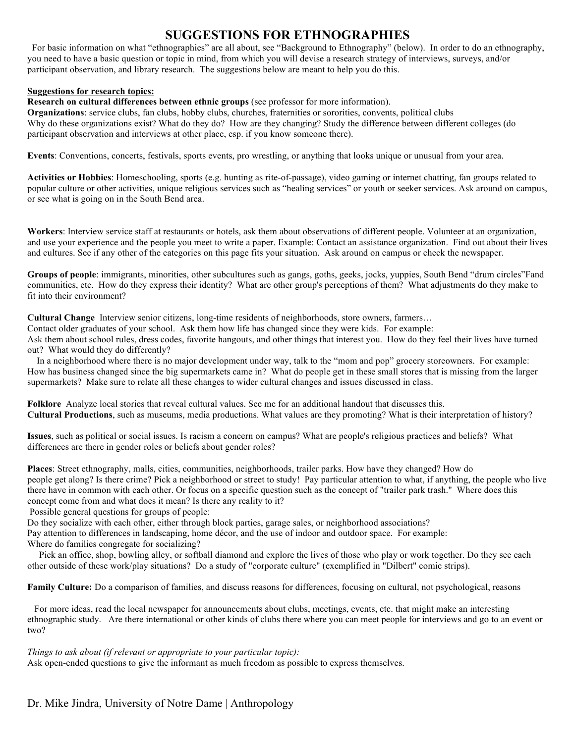# **SUGGESTIONS FOR ETHNOGRAPHIES**

 For basic information on what "ethnographies" are all about, see "Background to Ethnography" (below). In order to do an ethnography, you need to have a basic question or topic in mind, from which you will devise a research strategy of interviews, surveys, and/or participant observation, and library research. The suggestions below are meant to help you do this.

#### **Suggestions for research topics:**

**Research on cultural differences between ethnic groups** (see professor for more information).

**Organizations**: service clubs, fan clubs, hobby clubs, churches, fraternities or sororities, convents, political clubs Why do these organizations exist? What do they do? How are they changing? Study the difference between different colleges (do participant observation and interviews at other place, esp. if you know someone there).

**Events**: Conventions, concerts, festivals, sports events, pro wrestling, or anything that looks unique or unusual from your area.

**Activities or Hobbies**: Homeschooling, sports (e.g. hunting as rite-of-passage), video gaming or internet chatting, fan groups related to popular culture or other activities, unique religious services such as "healing services" or youth or seeker services. Ask around on campus, or see what is going on in the South Bend area.

**Workers**: Interview service staff at restaurants or hotels, ask them about observations of different people. Volunteer at an organization, and use your experience and the people you meet to write a paper. Example: Contact an assistance organization. Find out about their lives and cultures. See if any other of the categories on this page fits your situation. Ask around on campus or check the newspaper.

**Groups of people**: immigrants, minorities, other subcultures such as gangs, goths, geeks, jocks, yuppies, South Bend "drum circles"Fand communities, etc. How do they express their identity? What are other group's perceptions of them? What adjustments do they make to fit into their environment?

**Cultural Change** Interview senior citizens, long-time residents of neighborhoods, store owners, farmers…

Contact older graduates of your school. Ask them how life has changed since they were kids. For example:

Ask them about school rules, dress codes, favorite hangouts, and other things that interest you. How do they feel their lives have turned out? What would they do differently?

 In a neighborhood where there is no major development under way, talk to the "mom and pop" grocery storeowners. For example: How has business changed since the big supermarkets came in? What do people get in these small stores that is missing from the larger supermarkets? Make sure to relate all these changes to wider cultural changes and issues discussed in class.

**Folklore** Analyze local stories that reveal cultural values. See me for an additional handout that discusses this. **Cultural Productions**, such as museums, media productions. What values are they promoting? What is their interpretation of history?

**Issues**, such as political or social issues. Is racism a concern on campus? What are people's religious practices and beliefs? What differences are there in gender roles or beliefs about gender roles?

**Places**: Street ethnography, malls, cities, communities, neighborhoods, trailer parks. How have they changed? How do people get along? Is there crime? Pick a neighborhood or street to study! Pay particular attention to what, if anything, the people who live there have in common with each other. Or focus on a specific question such as the concept of "trailer park trash." Where does this concept come from and what does it mean? Is there any reality to it?

Possible general questions for groups of people:

Do they socialize with each other, either through block parties, garage sales, or neighborhood associations?

Pay attention to differences in landscaping, home décor, and the use of indoor and outdoor space. For example:

Where do families congregate for socializing?

 Pick an office, shop, bowling alley, or softball diamond and explore the lives of those who play or work together. Do they see each other outside of these work/play situations? Do a study of "corporate culture" (exemplified in "Dilbert" comic strips).

**Family Culture:** Do a comparison of families, and discuss reasons for differences, focusing on cultural, not psychological, reasons

 For more ideas, read the local newspaper for announcements about clubs, meetings, events, etc. that might make an interesting ethnographic study. Are there international or other kinds of clubs there where you can meet people for interviews and go to an event or two?

#### *Things to ask about (if relevant or appropriate to your particular topic):*

Ask open-ended questions to give the informant as much freedom as possible to express themselves.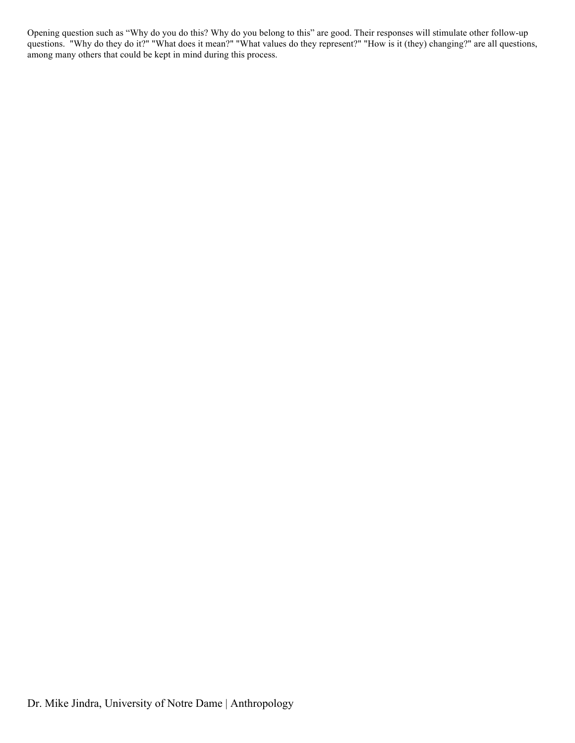Opening question such as "Why do you do this? Why do you belong to this" are good. Their responses will stimulate other follow-up questions. "Why do they do it?" "What does it mean?" "What values do they represent?" "How is it (they) changing?" are all questions, among many others that could be kept in mind during this process.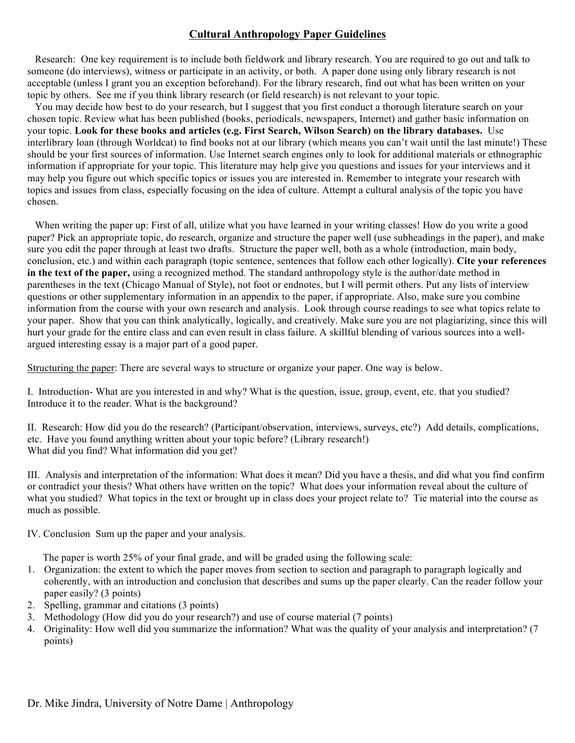### **Cultural Anthropology Paper Guidelines**

 Research: One key requirement is to include both fieldwork and library research. You are required to go out and talk to someone (do interviews), witness or participate in an activity, or both. A paper done using only library research is not acceptable (unless I grant you an exception beforehand). For the library research, find out what has been written on your topic by others. See me if you think library research (or field research) is not relevant to your topic.

 You may decide how best to do your research, but I suggest that you first conduct a thorough literature search on your chosen topic. Review what has been published (books, periodicals, newspapers, Internet) and gather basic information on your topic. **Look for these books and articles (e.g. First Search, Wilson Search) on the library databases.** Use interlibrary loan (through Worldcat) to find books not at our library (which means you can't wait until the last minute!) These should be your first sources of information. Use Internet search engines only to look for additional materials or ethnographic information if appropriate for your topic. This literature may help give you questions and issues for your interviews and it may help you figure out which specific topics or issues you are interested in. Remember to integrate your research with topics and issues from class, especially focusing on the idea of culture. Attempt a cultural analysis of the topic you have chosen.

When writing the paper up: First of all, utilize what you have learned in your writing classes! How do you write a good paper? Pick an appropriate topic, do research, organize and structure the paper well (use subheadings in the paper), and make sure you edit the paper through at least two drafts. Structure the paper well, both as a whole (introduction, main body, conclusion, etc.) and within each paragraph (topic sentence, sentences that follow each other logically). **Cite your references in the text of the paper,** using a recognized method. The standard anthropology style is the author/date method in parentheses in the text (Chicago Manual of Style), not foot or endnotes, but I will permit others. Put any lists of interview questions or other supplementary information in an appendix to the paper, if appropriate. Also, make sure you combine information from the course with your own research and analysis. Look through course readings to see what topics relate to your paper. Show that you can think analytically, logically, and creatively. Make sure you are not plagiarizing, since this will hurt your grade for the entire class and can even result in class failure. A skillful blending of various sources into a wellargued interesting essay is a major part of a good paper.

Structuring the paper: There are several ways to structure or organize your paper. One way is below.

I. Introduction- What are you interested in and why? What is the question, issue, group, event, etc. that you studied? Introduce it to the reader. What is the background?

II. Research: How did you do the research? (Participant/observation, interviews, surveys, etc?) Add details, complications, etc. Have you found anything written about your topic before? (Library research!) What did you find? What information did you get?

III. Analysis and interpretation of the information: What does it mean? Did you have a thesis, and did what you find confirm or contradict your thesis? What others have written on the topic? What does your information reveal about the culture of what you studied? What topics in the text or brought up in class does your project relate to? Tie material into the course as much as possible.

IV. Conclusion Sum up the paper and your analysis.

The paper is worth 25% of your final grade, and will be graded using the following scale:

- 1. Organization: the extent to which the paper moves from section to section and paragraph to paragraph logically and coherently, with an introduction and conclusion that describes and sums up the paper clearly. Can the reader follow your paper easily? (3 points)
- 2. Spelling, grammar and citations (3 points)
- 3. Methodology (How did you do your research?) and use of course material (7 points)
- 4. Originality: How well did you summarize the information? What was the quality of your analysis and interpretation? (7 points)